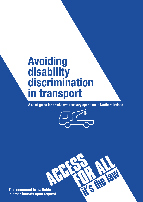# **Avoiding disability discrimination in transport**

**A short guide for breakdown recovery operators in Northern Ireland**



R

**This document is available in other formats upon request**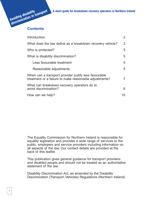

| Introduction                                                                                                    | 2              |
|-----------------------------------------------------------------------------------------------------------------|----------------|
| What does the law define as a breakdown recovery vehicle?                                                       | 3              |
| Who is protected?                                                                                               | 3              |
| What is disability discrimination?                                                                              | 5              |
| Less favourable treatment                                                                                       | 5              |
| Reasonable adjustments                                                                                          | 5              |
| When can a transport provider justify less favourable<br>treatment or a failure to make reasonable adjustments? | $\overline{7}$ |
| What can breakdown recovery operators do to<br>avoid discrimination?                                            | 8              |
| How can we help?                                                                                                | 10             |

The Equality Commission for Northern Ireland is responsible for equality legislation and provides a wide range of services to the public, employers and service providers including information on all aspects of the law. Our contact details are provided at the back of this leaflet.

This publication gives general guidance for transport providers and disabled people and should not be treated as an authoritative statement of the law.

Disability Discrimination Act, as amended by the Disability Discrimination (Transport Vehicles) Regulations (Northern Ireland).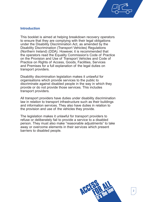

# **Introduction**

This booklet is aimed at helping breakdown recovery operators to ensure that they are complying with their legal obligations under the Disability Discrimination Act, as amended by the Disability Discrimination (Transport Vehicles) Regulations (Northern Ireland) (DDA). However, it is recommended that the operators read the Equality Commission's Code of Practice on the Provision and Use of Transport Vehicles and Code of Practice on Rights of Access, Goods, Facilities, Services and Premises for a full explanation of the legal duties on transport providers.

Disability discrimination legislation makes it unlawful for organisations which provide services to the public to discriminate against disabled people in the way in which they provide or do not provide those services. This includes transport providers.

All transport providers have duties under disability discrimination law in relation to transport infrastructure such as their buildings and information services. They also have duties in relation to the provision and use of the vehicles they provide.

The legislation makes it unlawful for transport providers to refuse or deliberately fail to provide a service to a disabled person. They must also make "reasonable adjustments" to take away or overcome elements in their services which present barriers to disabled people.

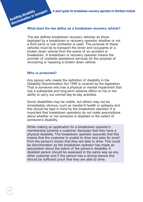#### **What does the law define as a breakdown recovery vehicle?**

The law defines breakdown recovery vehicles as those deployed by a breakdown or recovery operator, whether or not a third party or sub contractor is used. The purpose of these vehicles must be to transport the driver and occupants of a broken down vehicle from the scene of an accident or breakdown. A breakdown or recovery operator means the provider of roadside assistance services for the purpose of recovering or repairing a broken down vehicle.

#### **Who is protected?**

**Avoiding disability**

Any person who meets the definition of disability in the Disability Discrimination Act 1995 is covered by the legislation. That is someone who has a physical or mental impairment that has a substantial and long-term adverse effect on his or her ability to carry out normal day-to-day activities.

Some disabilities may be visible, but others may not be immediately obvious, such as mental ill health or epilepsy and this should be kept in mind by the breakdown operator. It is important that breakdown operators do not make assumptions about whether or not someone is disabled or the extent of someone's disability.

While making an application for a breakdown operator's membership scheme a customer discloses that they have a physical disability. The breakdown operator assumes that this means that the customer is unable to drive and asks for proof from the person's doctor that they are able to drive. This could be discrimination as the breakdown operator has made an assumption about the extent of the person's disability. A disabled person should be assessed in the same way as any other customer and if the person has a driving licence this should be sufficient proof that they are able to drive.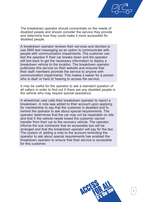The breakdown operator should concentrate on the needs of disabled people and should consider the service they provide and determine how they could make it more accessible for disabled people.

A breakdown operator reviews their services and decides to use SMS text messaging as an option to communicate with people with communication impairments. The customer can text the operator if their car breaks down and the operator will text back to get the necessary information to deploy a breakdown vehicle to the location. The breakdown operator publicises this service on their website and ensures that their staff members promote the service to anyone with communication impairments. This makes it easier for a person who is deaf or hard of hearing to access the service.

It may be useful for the operator to ask a standard question of all callers in order to find out if there are any disabled people in the vehicle who may require special assistance.

A wheelchair user calls their breakdown operator to report a breakdown. A note was added to their account upon applying for membership to say that the customer is disabled and to remind the operator to ask about special requirements. The operator determines that the car may not be repairable on site and that if the vehicle needs towed the customer cannot transfer from their car to the recovery vehicle. The operator informs the sub contractor that an accessible taxi will be arranged and that the breakdown operator will pay for the taxi. The system of adding a note to the account reminding the operator to ask about special requirements has enabled the breakdown operator to ensure that their service is accessible for this customer.

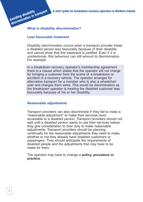# **What is disability discrimination? discrimination in transport**

## **Less favourable treatment**

**Avoiding disability**

Disability discrimination occurs when a transport provider treats a disabled person less favourably because of their disability and cannot show that this treatment is justified. Even if it is unintentional, this behaviour can still amount to discrimination. For example:

In a breakdown recovery operator's membership agreement there is a clause which states that the operator will not charge for bringing a customer from the scene of a breakdown or accident in a recovery vehicle. The operator arranges for alternative transport for a member who is also a wheelchair user and charges them extra. This would be discrimination as the breakdown operator is treating the disabled customer less favourably because of his or her disability.

## **Reasonable adjustments**

Transport providers can also discriminate if they fail to make a "reasonable adjustment" to make their services more accessible to a disabled person. Transport providers should not wait until a disabled person wants to use their services before they give consideration to their duty to make reasonable adjustments. Transport providers should be planning continually for the reasonable adjustments they need to make, whether or not they already have disabled customers or passengers. They should anticipate the requirements of disabled people and the adjustments that may have to be made for them.

The operator may have to change a **policy, procedure or practice**.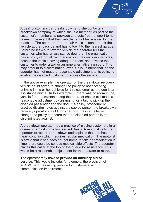

A deaf customer's car breaks down and she contacts a breakdown company of which she is a member. As part of the customer's membership package she gets free transport to her home in the event that their vehicle cannot be repaired by the roadside. The operator of the repair vehicle cannot repair the vehicle at the roadside and has to tow it to the nearest garage. Before he leaves to tow the vehicle the operator tells the customer, who has an assistance dog, that the organisation has a policy of not allowing animals in their recovery vehicles, despite the vehicle having adequate room, and advises the customer to order a taxi or arrange alternative transport. This may amount to discrimination, even if it is unintentional, as the operator has not made a reasonable adjustment to its policy to enable the disabled customer to access the service.

In the above example, the operator of the breakdown recovery vehicle could agree to change the policy of not accepting animals in his or her vehicles for this customer as the dog is an assistance animal. In this example, if there was no room in the vehicle for the assistance dog the operator should still make a reasonable adjustment by arranging for a taxi to pick up the disabled passenger and the dog. If a policy, procedure or practice discriminates against a disabled person the breakdown recovery operator should consider how they can alter or change the policy to ensure that the disabled person is not discriminated against.

A breakdown operator has a practice of placing customers in a queue on a "first come first served" basis. A motorist calls the operator to report a breakdown and explains that she has a heart condition which requires regular medication. The motorist is afraid that if she does not get home to take her medication in time, there could be serious medical side effects. The operator places this caller at the top of the queue for assistance. This would be a reasonable adjustment for the operator to make.

The operator may have to **provide an auxiliary aid or service**. This would include, for example, the provision of an SMS text messaging service for customers with communication impairments.

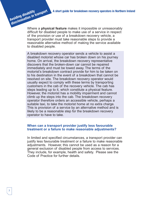Where a **physical feature** makes it impossible or unreasonably difficult for disabled people to make use of a service in respect of the provision or use of a breakdown recovery vehicle, a transport provider must take reasonable steps to provide a reasonable alternative method of making the service available to disabled people.

A breakdown recovery operator sends a vehicle to assist a disabled motorist whose car has broken down on his journey home. On arrival, the breakdown recovery representative discovers that the broken-down car cannot be repaired immediately and must be towed away. The terms of the motorist's breakdown contract provide for him to be taken on to his destination in the event of a breakdown that cannot be resolved on site. The breakdown recovery operator would usually expect to comply with these terms by transporting customers in the cab of the recovery vehicle. The cab has steps leading up to it, which constitute a physical feature. However, the motorist has a mobility impairment and cannot climb up the steps into the cab. The breakdown recovery operator therefore orders an accessible vehicle, perhaps a suitable taxi, to take the motorist home at no extra charge. This is provision of a service by an alternative method and is likely to be a reasonable step for the breakdown recovery operator to have to take.

#### **When can a transport provider justify less favourable treatment or a failure to make reasonable adjustments?**

In limited and specified circumstances, a transport provider can justify less favourable treatment or a failure to make reasonable adjustments. However, this cannot be used as a reason for a general exclusion of disabled people from access to services. They include, for example, health and safety. Please see the Code of Practice for further details.

**Avoiding disability**

**discrimination in transport**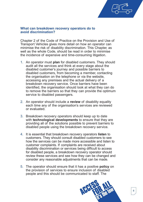

#### **What can breakdown recovery operators do to avoid discrimination?**

Chapter 2 of the Code of Practice on the Provision and Use of Transport Vehicles gives more detail on how an operator can minimise the risk of disability discrimination. This Chapter, as well as the whole Code, should be read in order to minimise the incidence of expensive and time-consuming litigation.

- 1. An operator must **plan** for disabled customers. They should audit all the services and think at every stage about the disabled customer's journey and possible barriers to disabled customers, from becoming a member, contacting the organisation on the telephone or via the website, accessing any premises and the actual delivery of a breakdown recovery service. Once barriers have been identified, the organisation should look at what they can do to remove the barriers so that they can provide the optimum service to disabled passengers.
- 2. An operator should include a **review** of disability equality each time any of the organisation's services are reviewed or evaluated.
- 3. Breakdown recovery operators should keep up to date with **technological developments** to ensure that they are providing all of the solutions possible to prevent barriers to disabled people using the breakdown recovery service.
- 4. It is essential that breakdown recovery operators **listen** to customers. They should consult disabled customers to see how the services can be made more accessible and listen to customer complaints. If complaints are received about disability discrimination or services being difficult to access for disabled people, a breakdown recovery operator should review these services and see how they can be changed and consider any reasonable adjustments that can be made.
- 5. The operator should ensure that it has a positive **policy** on the provision of services to ensure inclusion of disabled people and this should be communicated to staff. The

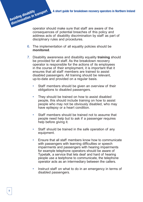operator should make sure that staff are aware of the consequences of potential breaches of this policy and address acts of disability discrimination by staff as part of disciplinary rules and procedures.

- 6. The implementation of all equality policies should be **monitored**.
- 7. Disability awareness and disability equality **training** should be provided for all staff. As the breakdown recovery operator is responsible for the actions of its employees in the course of their employment, it is important that it ensures that all staff members are trained to assist disabled passengers. All training should be relevant, up-to-date and provided on a regular basis.
	- Staff members should be given an overview of their obligations to disabled passengers.
	- They should be trained on how to assist disabled people, this should include training on how to assist people who may not be obviously disabled, who may have epilepsy or a heart condition.
	- Staff members should be trained not to assume that people need help but to ask if a passenger requires help before giving it.
	- Staff should be trained in the safe operation of any equipment.
	- Ensure that all staff members know how to communicate with passengers with learning difficulties or speech impairments and passengers with hearing impairments for example telephone operators should be aware of Typetalk, a service that lets deaf and hard of hearing people use a textphone to communicate, the telephone operator acts as an intermediary between the callers.
	- Instruct staff on what to do in an emergency in terms of disabled passengers.

**Avoiding disability**

**discrimination in transport**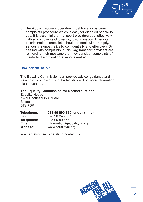

8. Breakdown recovery operators must have a customer complaints procedure which is easy for disabled people to use. It is essential that transport providers deal effectively with all complaints of disability discrimination. Disability discrimination complaints should be dealt with promptly, seriously, sympathetically, confidentially and effectively. By dealing with complaints in this way, transport providers are reinforcing their message that they consider complaints of disability discrimination a serious matter.

#### **How can we help?**

The Equality Commission can provide advice, guidance and training on complying with the legislation. For more information please contact:

#### **The Equality Commission for Northern Ireland**

Equality House 7 – 9 Shaftesbury Square **Belfast** BT2 7DP

| Telephone:      | 028 90 890 890 (enquiry line) |
|-----------------|-------------------------------|
| Fax:            | 028 90 248 687                |
| Textphone:      | 028 90 500 589                |
| Email:          | information@equalityni.org    |
| <b>Website:</b> | www.equalityni.org            |

You can also use Typetalk to contact us.